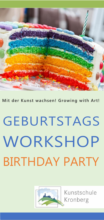

**Mit der Kunst wachsen! Growing with Art!**

## GEBURTSTAGS **WORKSHOP** BIRTHDAY PARTY



Kunstschule Kronberg